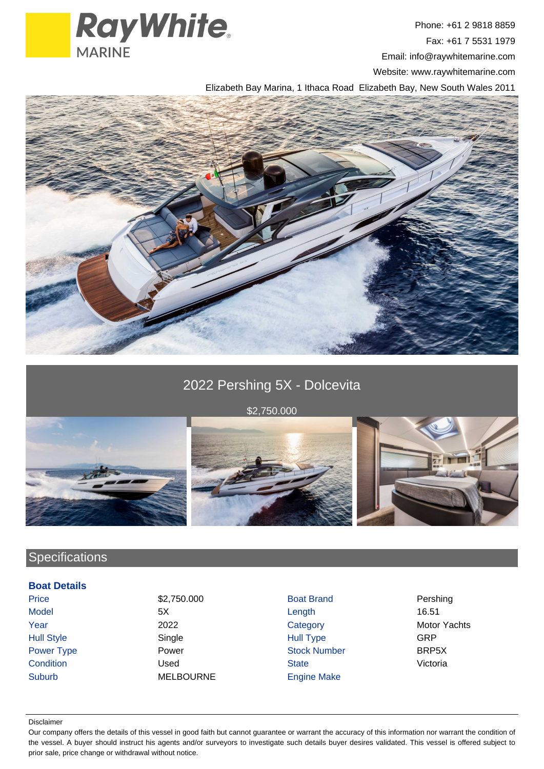

Phone: +61 2 9818 8859 Fax: +61 7 5531 1979 Email: info@raywhitemarine.com Website: www.raywhitemarine.com

Elizabeth Bay Marina, 1 Ithaca Road Elizabeth Bay, New South Wales 2011



# 2022 Pershing 5X - Dolcevita

\$2,750.000





## **Specifications**

### **Boat Details**

Suburb MELBOURNE Engine Make

Price **82,750.000** Boat Brand Pershing Model 5X Length 16.51 Year 2022 2022 Category Category Motor Yachts Hull Style Single Hull Type GRP Power Type **Power Power Stock Number** BRP5X Condition **Condition** Condition Condition Condition Used State State State Victoria

#### Disclaimer

Our company offers the details of this vessel in good faith but cannot guarantee or warrant the accuracy of this information nor warrant the condition of the vessel. A buyer should instruct his agents and/or surveyors to investigate such details buyer desires validated. This vessel is offered subject to prior sale, price change or withdrawal without notice.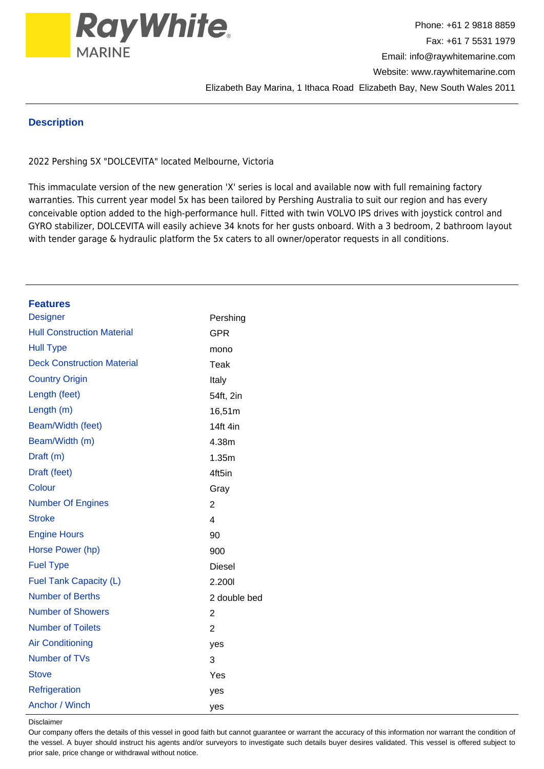

### **Description**

2022 Pershing 5X "DOLCEVITA" located Melbourne, Victoria

This immaculate version of the new generation 'X' series is local and available now with full remaining factory warranties. This current year model 5x has been tailored by Pershing Australia to suit our region and has every conceivable option added to the high-performance hull. Fitted with twin VOLVO IPS drives with joystick control and GYRO stabilizer, DOLCEVITA will easily achieve 34 knots for her gusts onboard. With a 3 bedroom, 2 bathroom layout with tender garage & hydraulic platform the 5x caters to all owner/operator requests in all conditions.

| <b>Features</b>                   |                         |
|-----------------------------------|-------------------------|
| <b>Designer</b>                   | Pershing                |
| <b>Hull Construction Material</b> | <b>GPR</b>              |
| <b>Hull Type</b>                  | mono                    |
| <b>Deck Construction Material</b> | <b>Teak</b>             |
| <b>Country Origin</b>             | Italy                   |
| Length (feet)                     | 54ft, 2in               |
| Length (m)                        | 16,51m                  |
| Beam/Width (feet)                 | 14ft 4in                |
| Beam/Width (m)                    | 4.38m                   |
| Draft (m)                         | 1.35m                   |
| Draft (feet)                      | 4ft5in                  |
| Colour                            | Gray                    |
| <b>Number Of Engines</b>          | $\overline{2}$          |
| <b>Stroke</b>                     | $\overline{\mathbf{4}}$ |
| <b>Engine Hours</b>               | 90                      |
| Horse Power (hp)                  | 900                     |
| <b>Fuel Type</b>                  | <b>Diesel</b>           |
| Fuel Tank Capacity (L)            | 2.2001                  |
| <b>Number of Berths</b>           | 2 double bed            |
| <b>Number of Showers</b>          | $\overline{c}$          |
| <b>Number of Toilets</b>          | $\overline{2}$          |
| <b>Air Conditioning</b>           | yes                     |
| Number of TVs                     | 3                       |
| <b>Stove</b>                      | Yes                     |
| Refrigeration                     | yes                     |
| Anchor / Winch                    | yes                     |
| $D^* = -1$                        |                         |

Disclaime

Our company offers the details of this vessel in good faith but cannot guarantee or warrant the accuracy of this information nor warrant the condition of the vessel. A buyer should instruct his agents and/or surveyors to investigate such details buyer desires validated. This vessel is offered subject to prior sale, price change or withdrawal without notice.